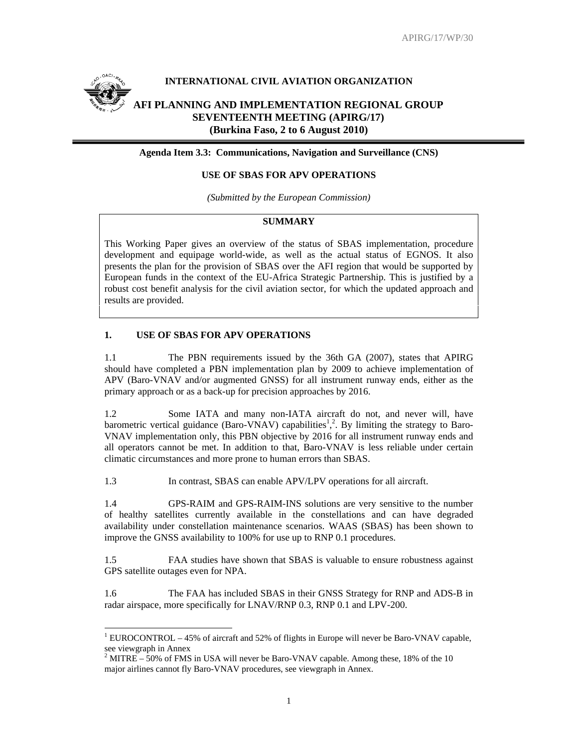

l

# **INTERNATIONAL CIVIL AVIATION ORGANIZATION**

# **AFI PLANNING AND IMPLEMENTATION REGIONAL GROUP SEVENTEENTH MEETING (APIRG/17) (Burkina Faso, 2 to 6 August 2010)**

**Agenda Item 3.3: Communications, Navigation and Surveillance (CNS)** 

#### **USE OF SBAS FOR APV OPERATIONS**

*(Submitted by the European Commission)* 

# **SUMMARY**

This Working Paper gives an overview of the status of SBAS implementation, procedure development and equipage world-wide, as well as the actual status of EGNOS. It also presents the plan for the provision of SBAS over the AFI region that would be supported by European funds in the context of the EU-Africa Strategic Partnership. This is justified by a robust cost benefit analysis for the civil aviation sector, for which the updated approach and results are provided.

# **1. USE OF SBAS FOR APV OPERATIONS**

1.1 The PBN requirements issued by the 36th GA (2007), states that APIRG should have completed a PBN implementation plan by 2009 to achieve implementation of APV (Baro-VNAV and/or augmented GNSS) for all instrument runway ends, either as the primary approach or as a back-up for precision approaches by 2016.

1.2 Some IATA and many non-IATA aircraft do not, and never will, have barometric vertical guidance (Baro-VNAV) capabilities<sup>1</sup>,<sup>2</sup>. By limiting the strategy to Baro-VNAV implementation only, this PBN objective by 2016 for all instrument runway ends and all operators cannot be met. In addition to that, Baro-VNAV is less reliable under certain climatic circumstances and more prone to human errors than SBAS.

1.3 In contrast, SBAS can enable APV/LPV operations for all aircraft.

1.4 GPS-RAIM and GPS-RAIM-INS solutions are very sensitive to the number of healthy satellites currently available in the constellations and can have degraded availability under constellation maintenance scenarios. WAAS (SBAS) has been shown to improve the GNSS availability to 100% for use up to RNP 0.1 procedures.

1.5 FAA studies have shown that SBAS is valuable to ensure robustness against GPS satellite outages even for NPA.

1.6 The FAA has included SBAS in their GNSS Strategy for RNP and ADS-B in radar airspace, more specifically for LNAV/RNP 0.3, RNP 0.1 and LPV-200.

<sup>&</sup>lt;sup>1</sup> EUROCONTROL – 45% of aircraft and 52% of flights in Europe will never be Baro-VNAV capable,

see viewgraph in Annex<br><sup>2</sup> MITRE – 50% of FMS in USA will never be Baro-VNAV capable. Among these, 18% of the 10 major airlines cannot fly Baro-VNAV procedures, see viewgraph in Annex.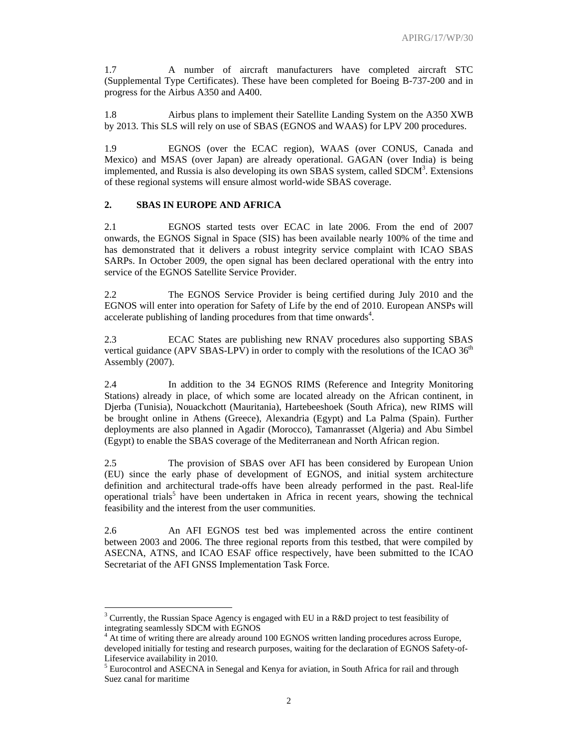1.7 A number of aircraft manufacturers have completed aircraft STC (Supplemental Type Certificates). These have been completed for Boeing B-737-200 and in progress for the Airbus A350 and A400.

1.8 Airbus plans to implement their Satellite Landing System on the A350 XWB by 2013. This SLS will rely on use of SBAS (EGNOS and WAAS) for LPV 200 procedures.

1.9 EGNOS (over the ECAC region), WAAS (over CONUS, Canada and Mexico) and MSAS (over Japan) are already operational. GAGAN (over India) is being implemented, and Russia is also developing its own SBAS system, called  $SDCM<sup>3</sup>$ . Extensions of these regional systems will ensure almost world-wide SBAS coverage.

#### **2. SBAS IN EUROPE AND AFRICA**

2.1 EGNOS started tests over ECAC in late 2006. From the end of 2007 onwards, the EGNOS Signal in Space (SIS) has been available nearly 100% of the time and has demonstrated that it delivers a robust integrity service complaint with ICAO SBAS SARPs. In October 2009, the open signal has been declared operational with the entry into service of the EGNOS Satellite Service Provider.

2.2 The EGNOS Service Provider is being certified during July 2010 and the EGNOS will enter into operation for Safety of Life by the end of 2010. European ANSPs will accelerate publishing of landing procedures from that time onwards<sup>4</sup>.

2.3 ECAC States are publishing new RNAV procedures also supporting SBAS vertical guidance (APV SBAS-LPV) in order to comply with the resolutions of the ICAO  $36<sup>th</sup>$ Assembly (2007).

2.4 In addition to the 34 EGNOS RIMS (Reference and Integrity Monitoring Stations) already in place, of which some are located already on the African continent, in Djerba (Tunisia), Nouackchott (Mauritania), Hartebeeshoek (South Africa), new RIMS will be brought online in Athens (Greece), Alexandria (Egypt) and La Palma (Spain). Further deployments are also planned in Agadir (Morocco), Tamanrasset (Algeria) and Abu Simbel (Egypt) to enable the SBAS coverage of the Mediterranean and North African region.

2.5 The provision of SBAS over AFI has been considered by European Union (EU) since the early phase of development of EGNOS, and initial system architecture definition and architectural trade-offs have been already performed in the past. Real-life operational trials<sup>5</sup> have been undertaken in Africa in recent years, showing the technical feasibility and the interest from the user communities.

2.6 An AFI EGNOS test bed was implemented across the entire continent between 2003 and 2006. The three regional reports from this testbed, that were compiled by ASECNA, ATNS, and ICAO ESAF office respectively, have been submitted to the ICAO Secretariat of the AFI GNSS Implementation Task Force.

<sup>&</sup>lt;sup>3</sup> Currently, the Russian Space Agency is engaged with EU in a R&D project to test feasibility of integrating seamlessly SDCM with EGNOS

<sup>&</sup>lt;sup>4</sup> At time of writing there are already around 100 EGNOS written landing procedures across Europe, developed initially for testing and research purposes, waiting for the declaration of EGNOS Safety-of-Lifeservice availability in 2010.

<sup>&</sup>lt;sup>5</sup> Eurocontrol and ASECNA in Senegal and Kenya for aviation, in South Africa for rail and through Suez canal for maritime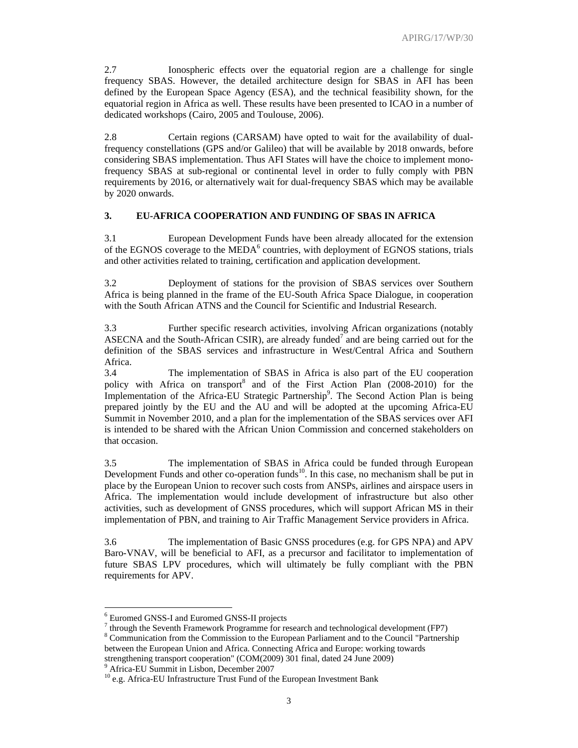2.7 Ionospheric effects over the equatorial region are a challenge for single frequency SBAS. However, the detailed architecture design for SBAS in AFI has been defined by the European Space Agency (ESA), and the technical feasibility shown, for the equatorial region in Africa as well. These results have been presented to ICAO in a number of dedicated workshops (Cairo, 2005 and Toulouse, 2006).

2.8 Certain regions (CARSAM) have opted to wait for the availability of dualfrequency constellations (GPS and/or Galileo) that will be available by 2018 onwards, before considering SBAS implementation. Thus AFI States will have the choice to implement monofrequency SBAS at sub-regional or continental level in order to fully comply with PBN requirements by 2016, or alternatively wait for dual-frequency SBAS which may be available by 2020 onwards.

#### **3. EU-AFRICA COOPERATION AND FUNDING OF SBAS IN AFRICA**

3.1 European Development Funds have been already allocated for the extension of the EGNOS coverage to the  $\text{MEDA}^6$  countries, with deployment of EGNOS stations, trials and other activities related to training, certification and application development.

3.2 Deployment of stations for the provision of SBAS services over Southern Africa is being planned in the frame of the EU-South Africa Space Dialogue, in cooperation with the South African ATNS and the Council for Scientific and Industrial Research.

3.3 Further specific research activities, involving African organizations (notably ASECNA and the South-African CSIR), are already funded<sup>7</sup> and are being carried out for the definition of the SBAS services and infrastructure in West/Central Africa and Southern Africa.

3.4 The implementation of SBAS in Africa is also part of the EU cooperation policy with Africa on transport<sup>8</sup> and of the First Action Plan (2008-2010) for the Implementation of the Africa-EU Strategic Partnership<sup>9</sup>. The Second Action Plan is being prepared jointly by the EU and the AU and will be adopted at the upcoming Africa-EU Summit in November 2010, and a plan for the implementation of the SBAS services over AFI is intended to be shared with the African Union Commission and concerned stakeholders on that occasion.

3.5 The implementation of SBAS in Africa could be funded through European Development Funds and other co-operation funds<sup>10</sup>. In this case, no mechanism shall be put in place by the European Union to recover such costs from ANSPs, airlines and airspace users in Africa. The implementation would include development of infrastructure but also other activities, such as development of GNSS procedures, which will support African MS in their implementation of PBN, and training to Air Traffic Management Service providers in Africa.

3.6 The implementation of Basic GNSS procedures (e.g. for GPS NPA) and APV Baro-VNAV, will be beneficial to AFI, as a precursor and facilitator to implementation of future SBAS LPV procedures, which will ultimately be fully compliant with the PBN requirements for APV.

<sup>6</sup> Euromed GNSS-I and Euromed GNSS-II projects

 $^7$  through the Seventh Framework Programme for research and technological development (FP7)

<sup>&</sup>lt;sup>8</sup> Communication from the Commission to the European Parliament and to the Council "Partnership" between the European Union and Africa. Connecting Africa and Europe: working towards strengthening transport cooperation" (COM(2009) 301 final, dated 24 June 2009)

<sup>9</sup> Africa-EU Summit in Lisbon, December 2007

<sup>&</sup>lt;sup>10</sup> e.g. Africa-EU Infrastructure Trust Fund of the European Investment Bank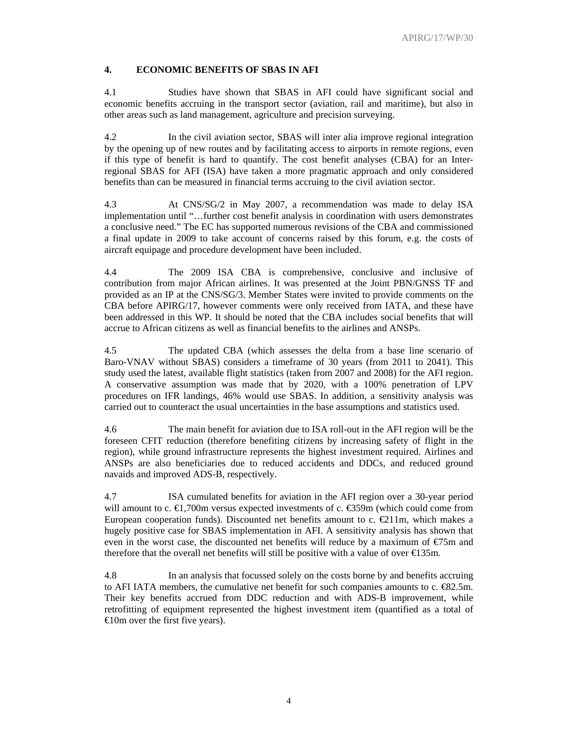### **4. ECONOMIC BENEFITS OF SBAS IN AFI**

4.1 Studies have shown that SBAS in AFI could have significant social and economic benefits accruing in the transport sector (aviation, rail and maritime), but also in other areas such as land management, agriculture and precision surveying.

4.2 In the civil aviation sector, SBAS will inter alia improve regional integration by the opening up of new routes and by facilitating access to airports in remote regions, even if this type of benefit is hard to quantify. The cost benefit analyses (CBA) for an Interregional SBAS for AFI (ISA) have taken a more pragmatic approach and only considered benefits than can be measured in financial terms accruing to the civil aviation sector.

4.3 At CNS/SG/2 in May 2007, a recommendation was made to delay ISA implementation until "…further cost benefit analysis in coordination with users demonstrates a conclusive need." The EC has supported numerous revisions of the CBA and commissioned a final update in 2009 to take account of concerns raised by this forum, e.g. the costs of aircraft equipage and procedure development have been included.

4.4 The 2009 ISA CBA is comprehensive, conclusive and inclusive of contribution from major African airlines. It was presented at the Joint PBN/GNSS TF and provided as an IP at the CNS/SG/3. Member States were invited to provide comments on the CBA before APIRG/17, however comments were only received from IATA, and these have been addressed in this WP. It should be noted that the CBA includes social benefits that will accrue to African citizens as well as financial benefits to the airlines and ANSPs.

4.5 The updated CBA (which assesses the delta from a base line scenario of Baro-VNAV without SBAS) considers a timeframe of 30 years (from 2011 to 2041). This study used the latest, available flight statistics (taken from 2007 and 2008) for the AFI region. A conservative assumption was made that by 2020, with a 100% penetration of LPV procedures on IFR landings, 46% would use SBAS. In addition, a sensitivity analysis was carried out to counteract the usual uncertainties in the base assumptions and statistics used.

4.6 The main benefit for aviation due to ISA roll-out in the AFI region will be the foreseen CFIT reduction (therefore benefiting citizens by increasing safety of flight in the region), while ground infrastructure represents the highest investment required. Airlines and ANSPs are also beneficiaries due to reduced accidents and DDCs, and reduced ground navaids and improved ADS-B, respectively.

4.7 ISA cumulated benefits for aviation in the AFI region over a 30-year period will amount to c.  $\bigoplus$ ,700m versus expected investments of c.  $\bigoplus$ 59m (which could come from European cooperation funds). Discounted net benefits amount to c. €211m, which makes a hugely positive case for SBAS implementation in AFI. A sensitivity analysis has shown that even in the worst case, the discounted net benefits will reduce by a maximum of  $\epsilon$ 75m and therefore that the overall net benefits will still be positive with a value of over  $\bigoplus$  35m.

4.8 In an analysis that focussed solely on the costs borne by and benefits accruing to AFI IATA members, the cumulative net benefit for such companies amounts to c.  $\text{\textsterling}2.5m$ . Their key benefits accrued from DDC reduction and with ADS-B improvement, while retrofitting of equipment represented the highest investment item (quantified as a total of €10m over the first five years).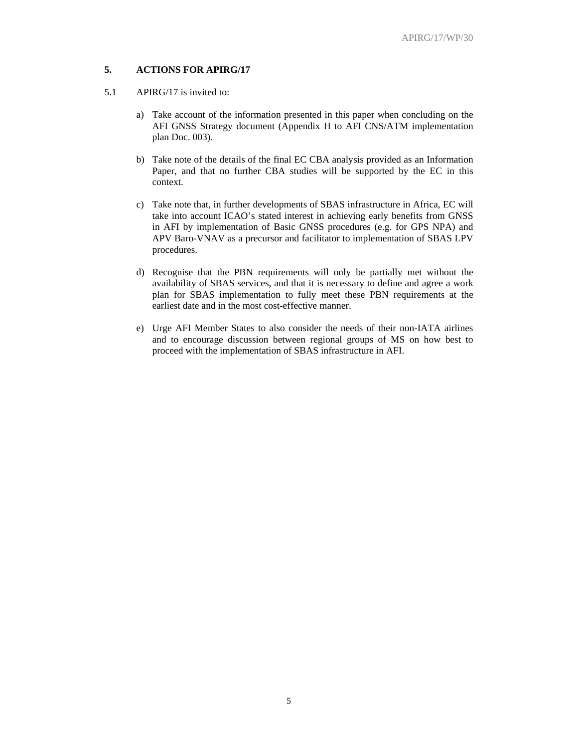# **5. ACTIONS FOR APIRG/17**

- 5.1 APIRG/17 is invited to:
	- a) Take account of the information presented in this paper when concluding on the AFI GNSS Strategy document (Appendix H to AFI CNS/ATM implementation plan Doc. 003).
	- b) Take note of the details of the final EC CBA analysis provided as an Information Paper, and that no further CBA studies will be supported by the EC in this context.
	- c) Take note that, in further developments of SBAS infrastructure in Africa, EC will take into account ICAO's stated interest in achieving early benefits from GNSS in AFI by implementation of Basic GNSS procedures (e.g. for GPS NPA) and APV Baro-VNAV as a precursor and facilitator to implementation of SBAS LPV procedures.
	- d) Recognise that the PBN requirements will only be partially met without the availability of SBAS services, and that it is necessary to define and agree a work plan for SBAS implementation to fully meet these PBN requirements at the earliest date and in the most cost-effective manner.
	- e) Urge AFI Member States to also consider the needs of their non-IATA airlines and to encourage discussion between regional groups of MS on how best to proceed with the implementation of SBAS infrastructure in AFI.